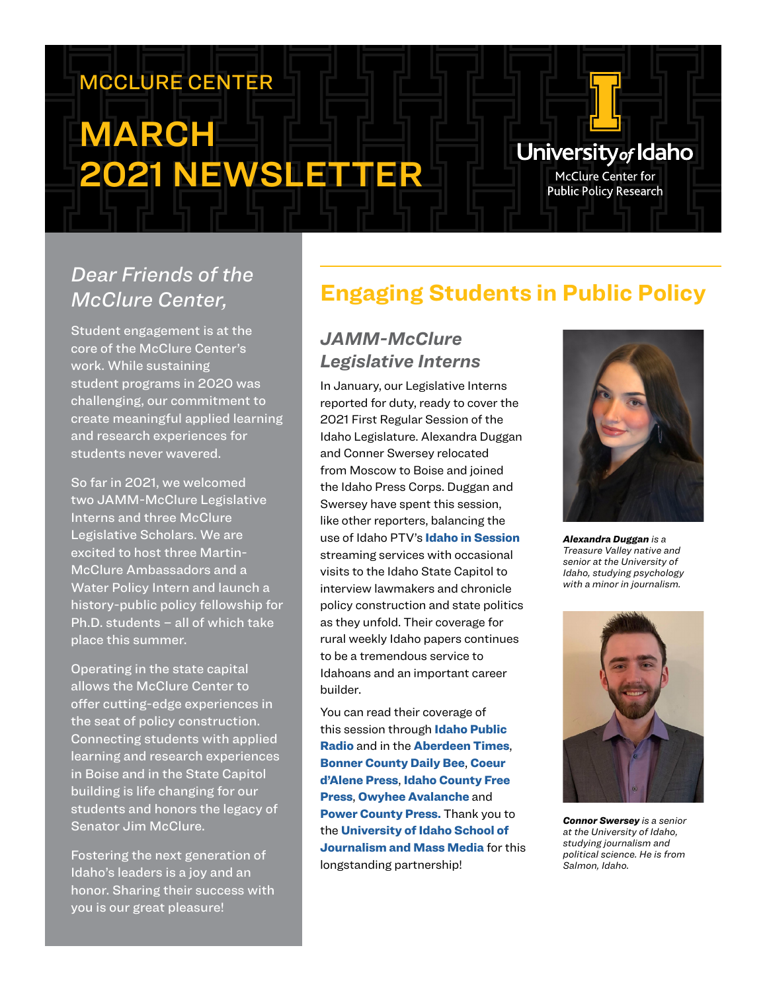# MCCLURE CENTER

# MARCH 2021 NEWSLETTER

# University<sub>of</sub> Idaho

McClure Center for **Public Policy Research** 

# *Dear Friends of the McClure Center,*

Student engagement is at the core of the McClure Center's work. While sustaining student programs in 2020 was challenging, our commitment to create meaningful applied learning and research experiences for students never wavered.

So far in 2021, we welcomed two JAMM-McClure Legislative Interns and three McClure Legislative Scholars. We are excited to host three Martin-McClure Ambassadors and a Water Policy Intern and launch a history-public policy fellowship for Ph.D. students – all of which take place this summer.

Operating in the state capital allows the McClure Center to offer cutting-edge experiences in the seat of policy construction. Connecting students with applied learning and research experiences in Boise and in the State Capitol building is life changing for our students and honors the legacy of Senator Jim McClure.

Fostering the next generation of Idaho's leaders is a joy and an honor. Sharing their success with you is our great pleasure!

# **Engaging Students in Public Policy**

#### *JAMM-McClure Legislative Interns*

In January, our Legislative Interns reported for duty, ready to cover the 2021 First Regular Session of the Idaho Legislature. Alexandra Duggan and Conner Swersey relocated from Moscow to Boise and joined the Idaho Press Corps. Duggan and Swersey have spent this session, like other reporters, balancing the use of Idaho PTV's [Idaho in Session](https://www.idahoptv.org/shows/idahoinsession/) streaming services with occasional visits to the Idaho State Capitol to interview lawmakers and chronicle policy construction and state politics as they unfold. Their coverage for rural weekly Idaho papers continues to be a tremendous service to Idahoans and an important career builder.

You can read their coverage of this session through Idaho Public [Radio](https://www.uidaho.edu/class/jamm/opportunities/idaho-public-radio) and in the [Aberdeen Times](https://www.press-times.com/), [Bonner County Daily Bee](https://bonnercountydailybee.com/), [Coeur](https://cdapress.com/)  [d'Alene Press](https://cdapress.com/), [Idaho County Free](https://www.idahocountyfreepress.com/)  [Press](https://www.idahocountyfreepress.com/), [Owyhee Avalanche](http://www.owyheepublishing.com/) and [Power County Press.](https://www.press-times.com/) Thank you to the [University of Idaho School of](https://www.uidaho.edu/class/jamm)  [Journalism and Mass Media](https://www.uidaho.edu/class/jamm) for this longstanding partnership!



*Alexandra Duggan is a Treasure Valley native and senior at the University of Idaho, studying psychology with a minor in journalism.*



*Connor Swersey is a senior at the University of Idaho, studying journalism and political science. He is from Salmon, Idaho.*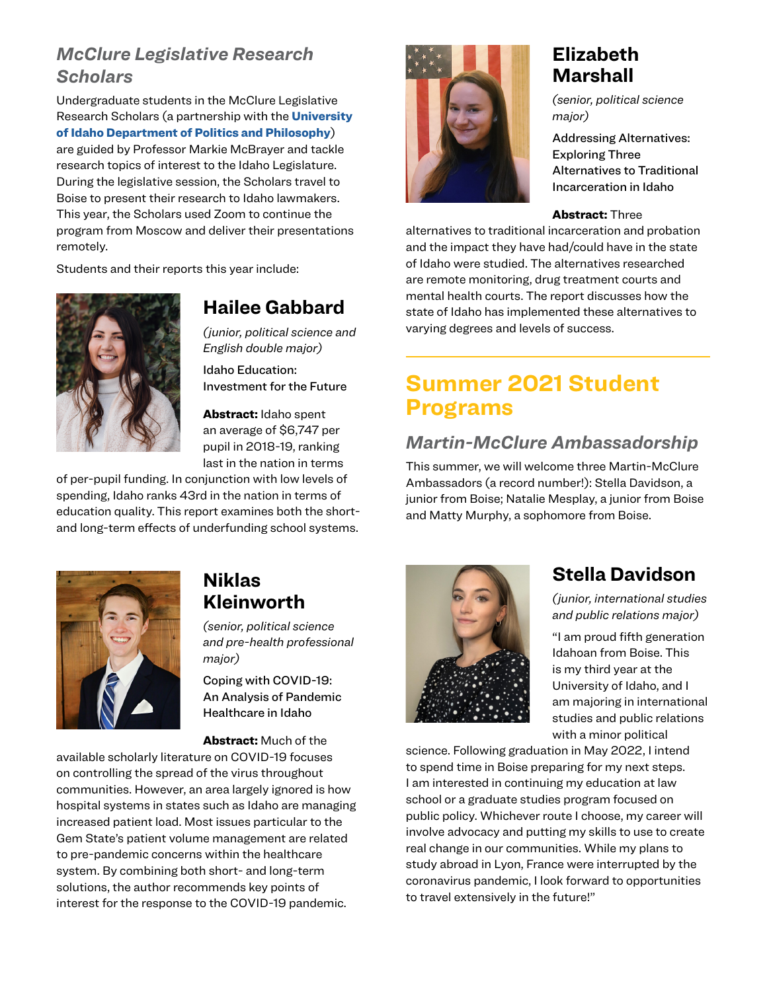#### *McClure Legislative Research Scholars*

Undergraduate students in the McClure Legislative Research Scholars (a partnership with the **University** [of Idaho Department of Politics and Philosophy](https://www.uidaho.edu/class/politics-and-philosophy)) are guided by Professor Markie McBrayer and tackle research topics of interest to the Idaho Legislature. During the legislative session, the Scholars travel to Boise to present their research to Idaho lawmakers. This year, the Scholars used Zoom to continue the program from Moscow and deliver their presentations remotely.

Students and their reports this year include:



#### **Hailee Gabbard**

*(junior, political science and English double major)* 

Idaho Education: Investment for the Future

Abstract: Idaho spent an average of \$6,747 per pupil in 2018-19, ranking last in the nation in terms

of per-pupil funding. In conjunction with low levels of spending, Idaho ranks 43rd in the nation in terms of education quality. This report examines both the shortand long-term effects of underfunding school systems.



### **Elizabeth Marshall**

*(senior, political science major)* 

Addressing Alternatives: Exploring Three Alternatives to Traditional Incarceration in Idaho

#### Abstract: Three

alternatives to traditional incarceration and probation and the impact they have had/could have in the state of Idaho were studied. The alternatives researched are remote monitoring, drug treatment courts and mental health courts. The report discusses how the state of Idaho has implemented these alternatives to varying degrees and levels of success.

# **Summer 2021 Student Programs**

#### *Martin-McClure Ambassadorship*

This summer, we will welcome three Martin-McClure Ambassadors (a record number!): Stella Davidson, a junior from Boise; Natalie Mesplay, a junior from Boise and Matty Murphy, a sophomore from Boise.



#### **Niklas Kleinworth**

*(senior, political science and pre-health professional major)* 

Coping with COVID-19: An Analysis of Pandemic Healthcare in Idaho

Abstract: Much of the

available scholarly literature on COVID-19 focuses on controlling the spread of the virus throughout communities. However, an area largely ignored is how hospital systems in states such as Idaho are managing increased patient load. Most issues particular to the Gem State's patient volume management are related to pre-pandemic concerns within the healthcare system. By combining both short- and long-term solutions, the author recommends key points of interest for the response to the COVID-19 pandemic.



### **Stella Davidson**

*(junior, international studies and public relations major)*

"I am proud fifth generation Idahoan from Boise. This is my third year at the University of Idaho, and I am majoring in international studies and public relations with a minor political

science. Following graduation in May 2022, I intend to spend time in Boise preparing for my next steps. I am interested in continuing my education at law school or a graduate studies program focused on public policy. Whichever route I choose, my career will involve advocacy and putting my skills to use to create real change in our communities. While my plans to study abroad in Lyon, France were interrupted by the coronavirus pandemic, I look forward to opportunities to travel extensively in the future!"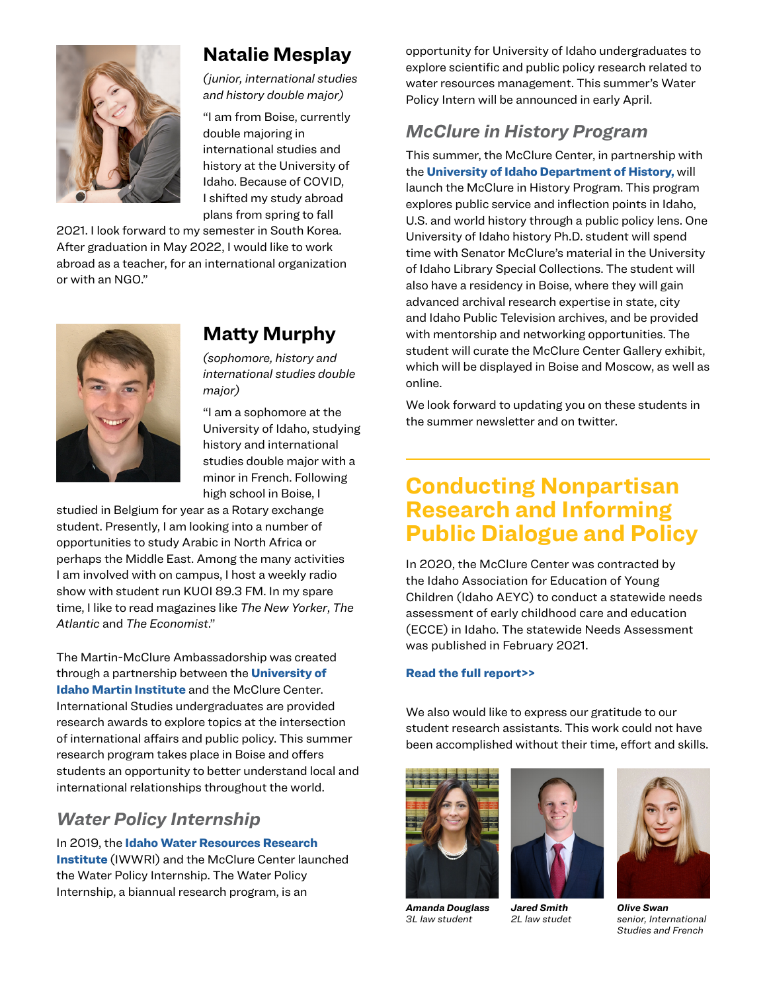

### **Natalie Mesplay**

*(junior, international studies and history double major)*

"I am from Boise, currently double majoring in international studies and history at the University of Idaho. Because of COVID, I shifted my study abroad plans from spring to fall

2021. I look forward to my semester in South Korea. After graduation in May 2022, I would like to work abroad as a teacher, for an international organization or with an NGO."



### **Matty Murphy**

*(sophomore, history and international studies double major)*

"I am a sophomore at the University of Idaho, studying history and international studies double major with a minor in French. Following high school in Boise, I

studied in Belgium for year as a Rotary exchange student. Presently, I am looking into a number of opportunities to study Arabic in North Africa or perhaps the Middle East. Among the many activities I am involved with on campus, I host a weekly radio show with student run KUOI 89.3 FM. In my spare time, I like to read magazines like *The New Yorker*, *The Atlantic* and *The Economist*."

The Martin-McClure Ambassadorship was created through a partnership between the **University of** [Idaho Martin Institute](https://www.uidaho.edu/class/martin-institute) and the McClure Center. International Studies undergraduates are provided research awards to explore topics at the intersection of international affairs and public policy. This summer research program takes place in Boise and offers students an opportunity to better understand local and international relationships throughout the world.

#### *Water Policy Internship*

In 2019, the Idaho Water Resources Research **Institute** (IWWRI) and the McClure Center launched the Water Policy Internship. The Water Policy Internship, a biannual research program, is an

opportunity for University of Idaho undergraduates to explore scientific and public policy research related to water resources management. This summer's Water Policy Intern will be announced in early April.

#### *McClure in History Program*

This summer, the McClure Center, in partnership with the [University of Idaho Department of History,](https://www.uidaho.edu/class/history) will launch the McClure in History Program. This program explores public service and inflection points in Idaho, U.S. and world history through a public policy lens. One University of Idaho history Ph.D. student will spend time with Senator McClure's material in the University of Idaho Library Special Collections. The student will also have a residency in Boise, where they will gain advanced archival research expertise in state, city and Idaho Public Television archives, and be provided with mentorship and networking opportunities. The student will curate the McClure Center Gallery exhibit, which will be displayed in Boise and Moscow, as well as online.

We look forward to updating you on these students in the summer newsletter and on twitter.

# **Conducting Nonpartisan Research and Informing Public Dialogue and Policy**

In 2020, the McClure Center was contracted by the Idaho Association for Education of Young Children (Idaho AEYC) to conduct a statewide needs assessment of early childhood care and education (ECCE) in Idaho. The statewide Needs Assessment was published in February 2021.

#### [Read the full report>>](https://www.uidaho.edu/president/direct-reports/mcclure-center/publications)

[We also would like to express our gratitude to our](https://www.uidaho.edu/president/direct-reports/mcclure-center/publications)  [student research assistants. This work could not have](https://www.uidaho.edu/president/direct-reports/mcclure-center/publications)  [been accomplished without their time, effort and skills.](https://www.uidaho.edu/president/direct-reports/mcclure-center/publications)



*Amanda Douglass 3L law student*



*Jared Smith 2L law studet*



*Olive Swan senior, International Studies and French*